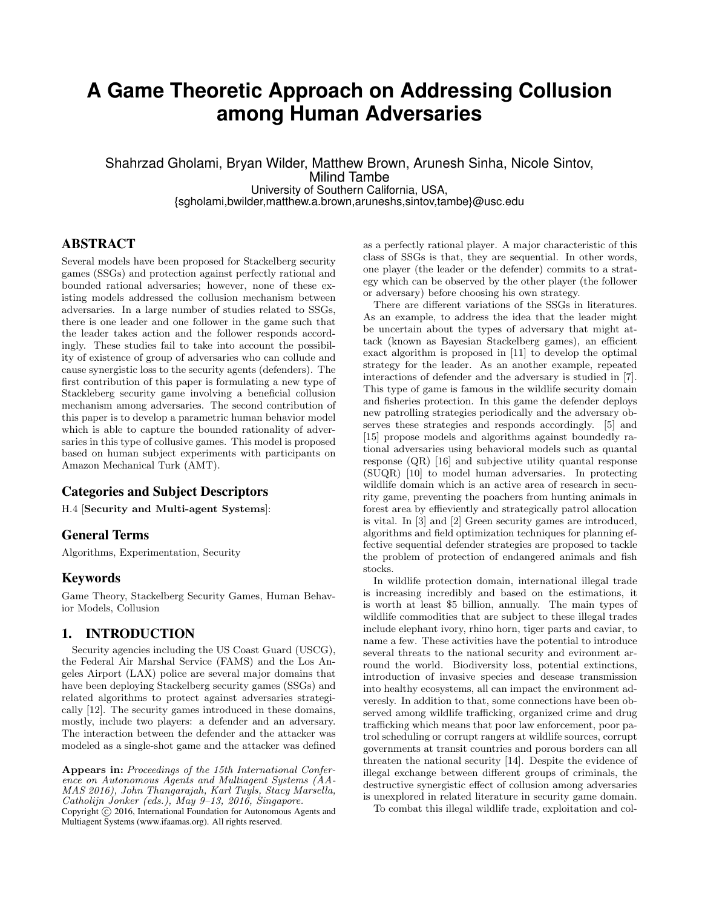# **A Game Theoretic Approach on Addressing Collusion among Human Adversaries**

Shahrzad Gholami, Bryan Wilder, Matthew Brown, Arunesh Sinha, Nicole Sintov, Milind Tambe University of Southern California, USA, {sgholami,bwilder,matthew.a.brown,aruneshs,sintov,tambe}@usc.edu

# ABSTRACT

Several models have been proposed for Stackelberg security games (SSGs) and protection against perfectly rational and bounded rational adversaries; however, none of these existing models addressed the collusion mechanism between adversaries. In a large number of studies related to SSGs, there is one leader and one follower in the game such that the leader takes action and the follower responds accordingly. These studies fail to take into account the possibility of existence of group of adversaries who can collude and cause synergistic loss to the security agents (defenders). The first contribution of this paper is formulating a new type of Stackleberg security game involving a beneficial collusion mechanism among adversaries. The second contribution of this paper is to develop a parametric human behavior model which is able to capture the bounded rationality of adversaries in this type of collusive games. This model is proposed based on human subject experiments with participants on Amazon Mechanical Turk (AMT).

# Categories and Subject Descriptors

H.4 [Security and Multi-agent Systems]:

## General Terms

Algorithms, Experimentation, Security

## Keywords

Game Theory, Stackelberg Security Games, Human Behavior Models, Collusion

# 1. INTRODUCTION

Security agencies including the US Coast Guard (USCG), the Federal Air Marshal Service (FAMS) and the Los Angeles Airport (LAX) police are several major domains that have been deploying Stackelberg security games (SSGs) and related algorithms to protect against adversaries strategically [12]. The security games introduced in these domains, mostly, include two players: a defender and an adversary. The interaction between the defender and the attacker was modeled as a single-shot game and the attacker was defined

Appears in: Proceedings of the 15th International Conference on Autonomous Agents and Multiagent Systems (AA-MAS 2016), John Thangarajah, Karl Tuyls, Stacy Marsella, Catholijn Jonker (eds.), May 9–13, 2016, Singapore.

Copyright (C) 2016, International Foundation for Autonomous Agents and Multiagent Systems (www.ifaamas.org). All rights reserved.

as a perfectly rational player. A major characteristic of this class of SSGs is that, they are sequential. In other words, one player (the leader or the defender) commits to a strategy which can be observed by the other player (the follower or adversary) before choosing his own strategy.

There are different variations of the SSGs in literatures. As an example, to address the idea that the leader might be uncertain about the types of adversary that might attack (known as Bayesian Stackelberg games), an efficient exact algorithm is proposed in [11] to develop the optimal strategy for the leader. As an another example, repeated interactions of defender and the adversary is studied in [7]. This type of game is famous in the wildlife security domain and fisheries protection. In this game the defender deploys new patrolling strategies periodically and the adversary observes these strategies and responds accordingly. [5] and [15] propose models and algorithms against boundedly rational adversaries using behavioral models such as quantal response (QR) [16] and subjective utility quantal response (SUQR) [10] to model human adversaries. In protecting wildlife domain which is an active area of research in security game, preventing the poachers from hunting animals in forest area by effieviently and strategically patrol allocation is vital. In [3] and [2] Green security games are introduced, algorithms and field optimization techniques for planning effective sequential defender strategies are proposed to tackle the problem of protection of endangered animals and fish stocks.

In wildlife protection domain, international illegal trade is increasing incredibly and based on the estimations, it is worth at least \$5 billion, annually. The main types of wildlife commodities that are subject to these illegal trades include elephant ivory, rhino horn, tiger parts and caviar, to name a few. These activities have the potential to introduce several threats to the national security and evironment arround the world. Biodiversity loss, potential extinctions, introduction of invasive species and desease transmission into healthy ecosystems, all can impact the environment adveresly. In addition to that, some connections have been observed among wildlife trafficking, organized crime and drug trafficking which means that poor law enforcement, poor patrol scheduling or corrupt rangers at wildlife sources, corrupt governments at transit countries and porous borders can all threaten the national security [14]. Despite the evidence of illegal exchange between different groups of criminals, the destructive synergistic effect of collusion among adversaries is unexplored in related literature in security game domain.

To combat this illegal wildlife trade, exploitation and col-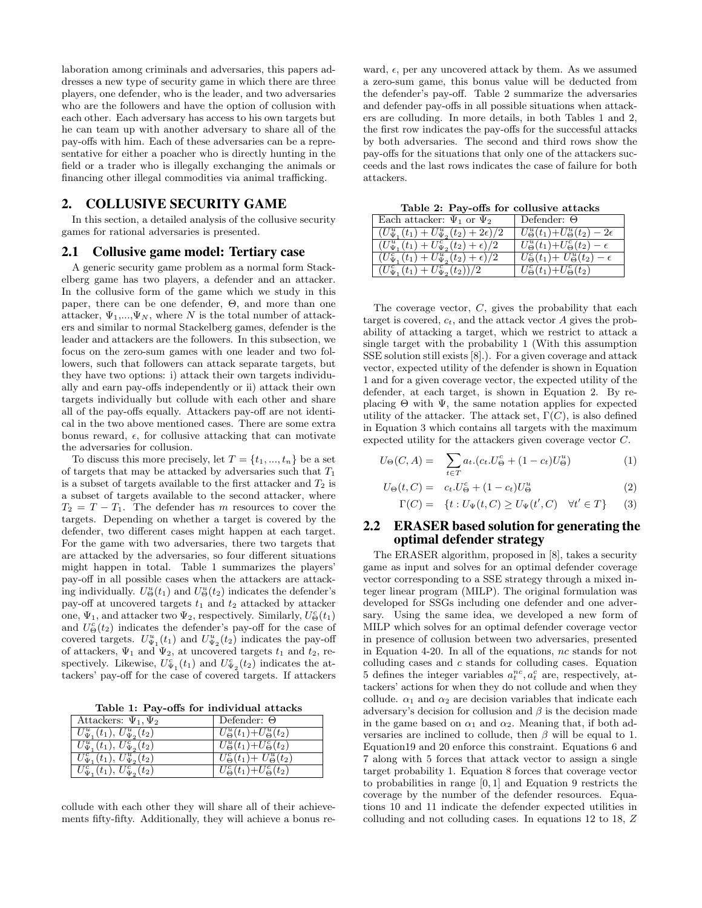laboration among criminals and adversaries, this papers addresses a new type of security game in which there are three players, one defender, who is the leader, and two adversaries who are the followers and have the option of collusion with each other. Each adversary has access to his own targets but he can team up with another adversary to share all of the pay-offs with him. Each of these adversaries can be a representative for either a poacher who is directly hunting in the field or a trader who is illegally exchanging the animals or financing other illegal commodities via animal trafficking.

# 2. COLLUSIVE SECURITY GAME

In this section, a detailed analysis of the collusive security games for rational adversaries is presented.

### 2.1 Collusive game model: Tertiary case

A generic security game problem as a normal form Stackelberg game has two players, a defender and an attacker. In the collusive form of the game which we study in this paper, there can be one defender, Θ, and more than one attacker,  $\Psi_1,...,\Psi_N$ , where N is the total number of attackers and similar to normal Stackelberg games, defender is the leader and attackers are the followers. In this subsection, we focus on the zero-sum games with one leader and two followers, such that followers can attack separate targets, but they have two options: i) attack their own targets individually and earn pay-offs independently or ii) attack their own targets individually but collude with each other and share all of the pay-offs equally. Attackers pay-off are not identical in the two above mentioned cases. There are some extra bonus reward,  $\epsilon$ , for collusive attacking that can motivate the adversaries for collusion.

To discuss this more precisely, let  $T = \{t_1, ..., t_n\}$  be a set of targets that may be attacked by adversaries such that  $T_1$ is a subset of targets available to the first attacker and  $T_2$  is a subset of targets available to the second attacker, where  $T_2 = T - T_1$ . The defender has m resources to cover the targets. Depending on whether a target is covered by the defender, two different cases might happen at each target. For the game with two adversaries, there two targets that are attacked by the adversaries, so four different situations might happen in total. Table 1 summarizes the players' pay-off in all possible cases when the attackers are attacking individually.  $U_{\Theta}^u(t_1)$  and  $U_{\Theta}^u(t_2)$  indicates the defender's pay-off at uncovered targets  $t_1$  and  $t_2$  attacked by attacker one,  $\Psi_1$ , and attacker two  $\Psi_2$ , respectively. Similarly,  $U^c_{\Theta}(t_1)$ and  $U_{\Theta}^{c}(t_2)$  indicates the defender's pay-off for the case of covered targets.  $U_{\Psi_1}^u(t_1)$  and  $U_{\Psi_2}^u(t_2)$  indicates the pay-off of attackers,  $\Psi_1$  and  $\Psi_2$ , at uncovered targets  $t_1$  and  $t_2$ , respectively. Likewise,  $U_{\Psi_1}^c(t_1)$  and  $U_{\Psi_2}^c(t_2)$  indicates the attackers' pay-off for the case of covered targets. If attackers

Table 1: Pay-offs for individual attacks

| Attackers: $\Psi_1, \Psi_2$                       | Defender: $\Theta$                                   |
|---------------------------------------------------|------------------------------------------------------|
| $U_{\Psi_1}^u(t_1), U_{\Psi_2}^u(t_2)$            | $U_{\Theta}^{u}(t_1) + U_{\Theta}^{u}(t_2)$          |
| $U_{\Psi_1}^u(t_1), U_{\Psi_2}^c(t_2)$            | $U_{\Theta}^{u}(t_1) + U_{\Theta}^{c}(t_2)$          |
| $\overline{U^c_{\Psi_1}}(t_1), U^u_{\Psi_2}(t_2)$ | $\overline{U_{\Theta}^{c}}(t_1)+U_{\Theta}^{u}(t_2)$ |
| $U_{\Psi_1}^c(t_1), U_{\Psi_2}^c(t_2)$            | $ U_{\Theta}^{c}(t_1)+U_{\Theta}^{c}(t_2) $          |

collude with each other they will share all of their achievements fifty-fifty. Additionally, they will achieve a bonus reward,  $\epsilon$ , per any uncovered attack by them. As we assumed a zero-sum game, this bonus value will be deducted from the defender's pay-off. Table 2 summarize the adversaries and defender pay-offs in all possible situations when attackers are colluding. In more details, in both Tables 1 and 2, the first row indicates the pay-offs for the successful attacks by both adversaries. The second and third rows show the pay-offs for the situations that only one of the attackers succeeds and the last rows indicates the case of failure for both attackers.

Table 2: Pay-offs for collusive attacks

| Each attacker: $\Psi_1$ or $\Psi_2$                                   | Defender: $\Theta$                                 |
|-----------------------------------------------------------------------|----------------------------------------------------|
| $(U_{\Psi_1}^u(t_1)+U_{\Psi_2}^u(t_2)+2\epsilon)/2$                   | $U_{\Theta}^u(t_1)+U_{\Theta}^u(t_2)-2\epsilon$    |
| $\left( U_{\Psi_1}^u(t_1) + U_{\Psi_2}^c(t_2) + \epsilon \right) / 2$ | $U_{\Theta}^{u}(t_1)+U_{\Theta}^{c}(t_2)-\epsilon$ |
| $(U_{\Psi_1}^c(t_1)+U_{\Psi_2}^u(t_2)+\epsilon)/2$                    | $U_{\Theta}^{c}(t_1)+U_{\Theta}^{u}(t_2)-\epsilon$ |
| $\left( U_{\Psi_1}^c(t_1) + U_{\Psi_2}^c(t_2) \right) / 2$            | $ U_{\Theta}^{c}(t_1)+U_{\Theta}^{c}(t_2) $        |

The coverage vector,  $C$ , gives the probability that each target is covered,  $c_t$ , and the attack vector A gives the probability of attacking a target, which we restrict to attack a single target with the probability 1 (With this assumption SSE solution still exists [8].). For a given coverage and attack vector, expected utility of the defender is shown in Equation 1 and for a given coverage vector, the expected utility of the defender, at each target, is shown in Equation 2. By replacing  $\Theta$  with  $\Psi$ , the same notation applies for expected utility of the attacker. The attack set,  $\Gamma(C)$ , is also defined in Equation 3 which contains all targets with the maximum expected utility for the attackers given coverage vector C.

$$
U_{\Theta}(C, A) = \sum_{t \in T} a_t (c_t \cdot U_{\Theta}^c + (1 - c_t) U_{\Theta}^u)
$$
 (1)

$$
U_{\Theta}(t, C) = c_t \cdot U_{\Theta}^c + (1 - c_t)U_{\Theta}^u \tag{2}
$$

$$
\Gamma(C) = \{ t : U_{\Psi}(t, C) \ge U_{\Psi}(t', C) \quad \forall t' \in T \} \tag{3}
$$

### 2.2 ERASER based solution for generating the optimal defender strategy

The ERASER algorithm, proposed in [8], takes a security game as input and solves for an optimal defender coverage vector corresponding to a SSE strategy through a mixed integer linear program (MILP). The original formulation was developed for SSGs including one defender and one adversary. Using the same idea, we developed a new form of MILP which solves for an optimal defender coverage vector in presence of collusion between two adversaries, presented in Equation 4-20. In all of the equations, nc stands for not colluding cases and c stands for colluding cases. Equation 5 defines the integer variables  $a_t^{nc}$ ,  $a_t^c$  are, respectively, attackers' actions for when they do not collude and when they collude.  $\alpha_1$  and  $\alpha_2$  are decision variables that indicate each adversary's decision for collusion and  $\beta$  is the decision made in the game based on  $\alpha_1$  and  $\alpha_2$ . Meaning that, if both adversaries are inclined to collude, then  $\beta$  will be equal to 1. Equation19 and 20 enforce this constraint. Equations 6 and 7 along with 5 forces that attack vector to assign a single target probability 1. Equation 8 forces that coverage vector to probabilities in range [0, 1] and Equation 9 restricts the coverage by the number of the defender resources. Equations 10 and 11 indicate the defender expected utilities in colluding and not colluding cases. In equations 12 to 18, Z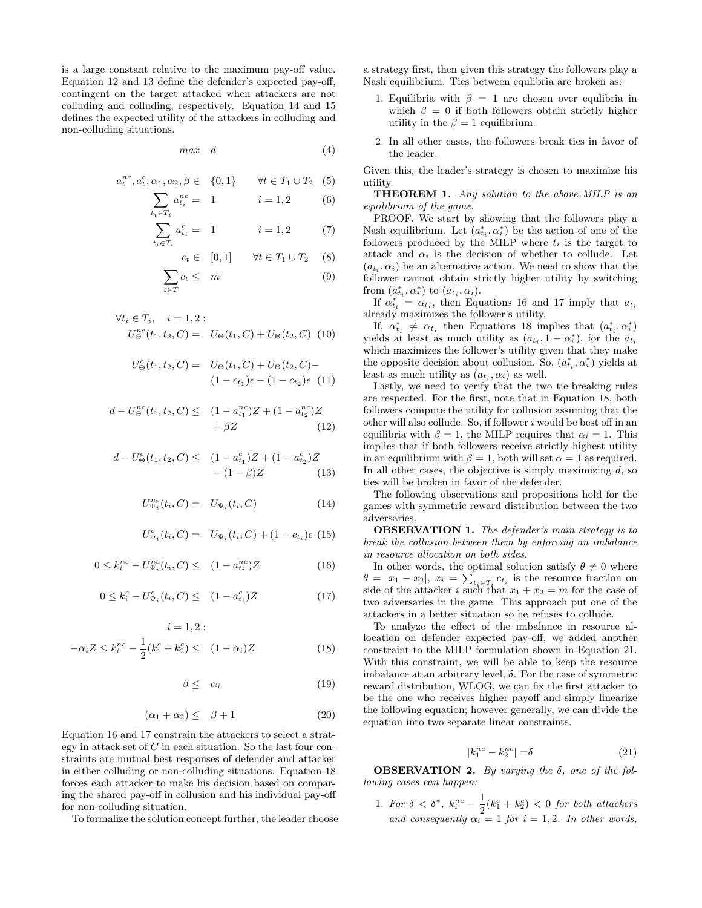is a large constant relative to the maximum pay-off value. Equation 12 and 13 define the defender's expected pay-off, contingent on the target attacked when attackers are not colluding and colluding, respectively. Equation 14 and 15 defines the expected utility of the attackers in colluding and non-colluding situations.

$$
max \quad d \tag{4}
$$

$$
a_t^{nc}, a_t^c, \alpha_1, \alpha_2, \beta \in \{0, 1\} \qquad \forall t \in T_1 \cup T_2 \quad (5)
$$

$$
\sum_{t_i \in T_i} a_{t_i}^{nc} = 1 \qquad i = 1, 2 \qquad (6)
$$

$$
\sum_{t_i \in T_i} a_{t_i}^c = 1 \qquad i = 1, 2 \qquad (7)
$$

$$
c_t \in [0,1] \quad \forall t \in T_1 \cup T_2 \quad (8)
$$

$$
\sum c_t \leq m \quad (9)
$$

$$
\forall t_i \in T_i, \quad i = 1, 2: \\
U_0^{nc}(t_1, t_2, C) = U_{\Theta}(t_1, C) + U_{\Theta}(t_2, C) \tag{10}
$$

 $t \in T$ 

$$
U_{\Theta}^{c}(t_{1}, t_{2}, C) = U_{\Theta}(t_{1}, C) + U_{\Theta}(t_{2}, C) -
$$
  

$$
(1 - c_{t_{1}})\epsilon - (1 - c_{t_{2}})\epsilon \quad (11)
$$

$$
d - U^{nc}_{\Theta}(t_1, t_2, C) \leq (1 - a_{t_1}^{nc})Z + (1 - a_{t_2}^{nc})Z + \beta Z \qquad (12)
$$

$$
d - U_{\Theta}^{c}(t_1, t_2, C) \leq (1 - a_{t_1}^{c})Z + (1 - a_{t_2}^{c})Z + (1 - \beta)Z \qquad (13)
$$

$$
U_{\Psi_i}^{nc}(t_i, C) = U_{\Psi_i}(t_i, C)
$$
\n(14)

$$
U_{\Psi_i}^c(t_i, C) = U_{\Psi_i}(t_i, C) + (1 - c_{t_i})\epsilon
$$
 (15)

$$
0 \le k_i^{nc} - U_{\Psi_i}^{nc}(t_i, C) \le (1 - a_{t_i}^{nc})Z \tag{16}
$$

$$
0 \le k_i^c - U_{\Psi_i}^c(t_i, C) \le (1 - a_{t_i}^c)Z \tag{17}
$$

$$
i = 1, 2:
$$
  

$$
-\alpha_i Z \le k_i^{nc} - \frac{1}{2} (k_1^c + k_2^c) \le (1 - \alpha_i) Z
$$
 (18)

$$
\beta \leq \alpha_i \tag{19}
$$

$$
(\alpha_1 + \alpha_2) \leq \ \beta + 1 \tag{20}
$$

Equation 16 and 17 constrain the attackers to select a strategy in attack set of  $C$  in each situation. So the last four constraints are mutual best responses of defender and attacker in either colluding or non-colluding situations. Equation 18 forces each attacker to make his decision based on comparing the shared pay-off in collusion and his individual pay-off for non-colluding situation.

To formalize the solution concept further, the leader choose

a strategy first, then given this strategy the followers play a Nash equilibrium. Ties between equlibria are broken as:

- 1. Equilibria with  $\beta = 1$  are chosen over equilibria in which  $\beta = 0$  if both followers obtain strictly higher utility in the  $\beta = 1$  equilibrium.
- 2. In all other cases, the followers break ties in favor of the leader.

Given this, the leader's strategy is chosen to maximize his utility.

THEOREM 1. Any solution to the above MILP is an equilibrium of the game.

PROOF. We start by showing that the followers play a Nash equilibrium. Let  $(a_{t_i}^*, \alpha_i^*)$  be the action of one of the followers produced by the MILP where  $t_i$  is the target to attack and  $\alpha_i$  is the decision of whether to collude. Let  $(a_{t_i}, \alpha_i)$  be an alternative action. We need to show that the follower cannot obtain strictly higher utility by switching from  $(a_{t_i}^*, \alpha_i^*)$  to  $(a_{t_i}, \alpha_i)$ .

If  $\alpha_{t_i}^* = \alpha_{t_i}$ , then Equations 16 and 17 imply that  $a_{t_i}$ already maximizes the follower's utility.

If,  $\alpha_{t_i}^* \neq \alpha_{t_i}$  then Equations 18 implies that  $(a_{t_i}^*, \alpha_i^*)$ yields at least as much utility as  $(a_{t_i}, 1 - \alpha_i^*)$ , for the  $a_{t_i}$ which maximizes the follower's utility given that they make the opposite decision about collusion. So,  $(a_{t_i}^*, \alpha_i^*)$  yields at least as much utility as  $(a_{t_i}, \alpha_i)$  as well.

Lastly, we need to verify that the two tie-breaking rules are respected. For the first, note that in Equation 18, both followers compute the utility for collusion assuming that the other will also collude. So, if follower  $i$  would be best off in an equilibria with  $\beta = 1$ , the MILP requires that  $\alpha_i = 1$ . This implies that if both followers receive strictly highest utility in an equilibrium with  $\beta = 1$ , both will set  $\alpha = 1$  as required. In all other cases, the objective is simply maximizing  $d$ , so ties will be broken in favor of the defender.

The following observations and propositions hold for the games with symmetric reward distribution between the two adversaries.

OBSERVATION 1. The defender's main strategy is to break the collusion between them by enforcing an imbalance in resource allocation on both sides.

In other words, the optimal solution satisfy  $\theta \neq 0$  where  $\theta = |x_1 - x_2|, x_i = \sum_{t_i \in T_i} c_{t_i}$  is the resource fraction on side of the attacker i such that  $x_1 + x_2 = m$  for the case of two adversaries in the game. This approach put one of the attackers in a better situation so he refuses to collude.

To analyze the effect of the imbalance in resource allocation on defender expected pay-off, we added another constraint to the MILP formulation shown in Equation 21. With this constraint, we will be able to keep the resource imbalance at an arbitrary level,  $\delta$ . For the case of symmetric reward distribution, WLOG, we can fix the first attacker to be the one who receives higher payoff and simply linearize the following equation; however generally, we can divide the equation into two separate linear constraints.

$$
|k_1^{nc} - k_2^{nc}| = \delta \tag{21}
$$

**OBSERVATION 2.** By varying the  $\delta$ , one of the following cases can happen:

1. For  $\delta < \delta^*$ ,  $k_i^{nc} - \frac{1}{2}$  $\frac{1}{2}(k_1^c + k_2^c) < 0$  for both attackers and consequently  $\alpha_i = 1$  for  $i = 1, 2$ . In other words,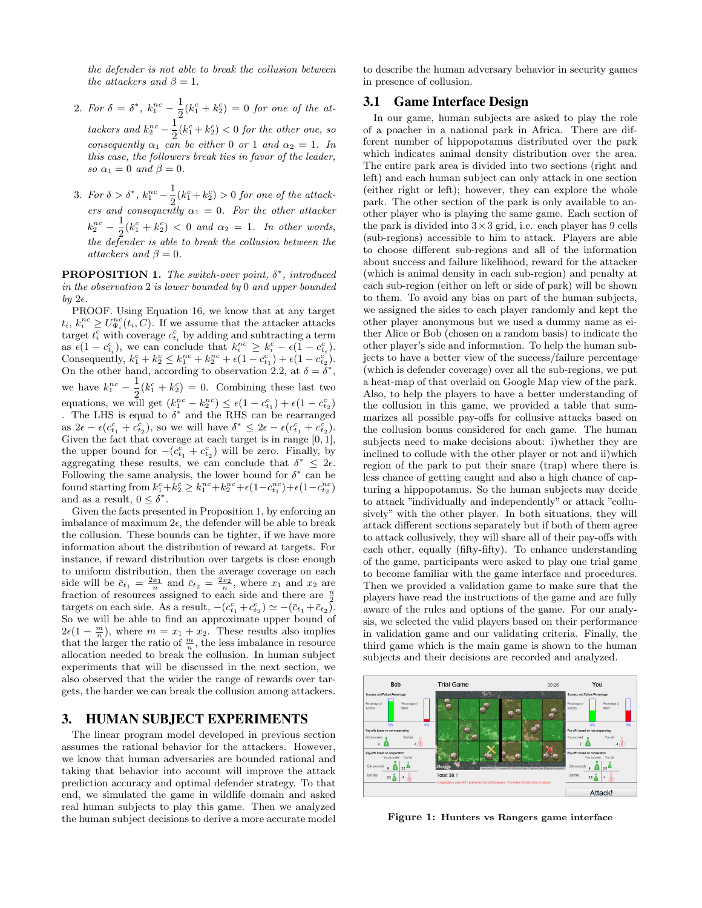the defender is not able to break the collusion between the attackers and  $\beta = 1$ .

- 2. For  $\delta = \delta^*$ ,  $k_1^{nc} \frac{1}{2}$  $\frac{1}{2}(k_1^c + k_2^c) = 0$  for one of the attackers and  $k_2^{nc} - \frac{1}{2}$  $\frac{1}{2}(k_1^c + k_2^c) < 0$  for the other one, so consequently  $\alpha_1$  can be either 0 or 1 and  $\alpha_2 = 1$ . In this case, the followers break ties in favor of the leader, so  $\alpha_1 = 0$  and  $\beta = 0$ .
- 3. For  $\delta > \delta^*$ ,  $k_1^{nc} \frac{1}{2}$  $\frac{1}{2}(k_1^c + k_2^c) > 0$  for one of the attackers and consequently  $\alpha_1 = 0$ . For the other attacker  $k_2^{nc} - \frac{1}{2}$  $\frac{1}{2}(k_1^c + k_2^c) < 0$  and  $\alpha_2 = 1$ . In other words, the defender is able to break the collusion between the attackers and  $\beta = 0$ .

**PROPOSITION 1.** The switch-over point,  $\delta^*$ , introduced in the observation 2 is lower bounded by 0 and upper bounded by  $2\epsilon$ .

PROOF. Using Equation 16, we know that at any target  $t_i, k_i^{nc} \ge U_{\Psi_i}^{nc}(t_i, C)$ . If we assume that the attacker attacks  $t_i, \kappa_i \geq \sigma_{\Psi_i}(t_i, \mathcal{C})$ . It we assume that the attacker attacks target  $t_i^c$  with coverage  $c_{t_i}^c$  by adding and subtracting a term as  $\epsilon(1 - c_{t_i}^c)$ , we can conclude that  $k_i^{nc} \geq k_i^c - \epsilon(1 - c_{t_i}^c)$ . Consequently,  $k_1^c + k_2^c \le k_1^{nc} + k_2^{nc} + \epsilon (1 - c_{t_1}^c) + \epsilon (1 - c_{t_2}^c)$ . On the other hand, according to observation 2.2, at  $\delta = \bar{\delta}^*$ , we have  $k_1^{nc} - \frac{1}{2}$  $\frac{1}{2}(k_1^c + k_2^c) = 0$ . Combining these last two equations, we will get  $(k_1^{nc} - k_2^{nc}) \leq \epsilon (1 - c_{t_1}^c) + \epsilon (1 - c_{t_2}^c)$ . The LHS is equal to  $\delta^*$  and the RHS can be rearranged as  $2\epsilon - \epsilon(c_{t_1}^c + c_{t_2}^c)$ , so we will have  $\delta^* \leq 2\epsilon - \epsilon(c_{t_1}^c + c_{t_2}^c)$ . Given the fact that coverage at each target is in range  $[0, 1]$ , the upper bound for  $-(c_{t_1}^c + c_{t_2}^c)$  will be zero. Finally, by aggregating these results, we can conclude that  $\delta^* \leq 2\epsilon$ . Following the same analysis, the lower bound for  $\delta^*$  can be found starting from  $k_1^c + k_2^c \ge k_1^{nc} + k_2^{nc} + \epsilon (1 - c_{t_1}^{nc}) + \epsilon (1 - c_{t_2}^{nc})$ and as a result,  $0 \leq \delta^*$ .

Given the facts presented in Proposition 1, by enforcing an imbalance of maximum  $2\epsilon$ , the defender will be able to break the collusion. These bounds can be tighter, if we have more information about the distribution of reward at targets. For instance, if reward distribution over targets is close enough to uniform distribution, then the average coverage on each side will be  $\bar{c}_{t_1} = \frac{2x_1}{n}$  and  $\bar{c}_{t_2} = \frac{2x_2}{n}$ , where  $x_1$  and  $x_2$  are fraction of resources assigned to each side and there are  $\frac{n}{2}$ targets on each side. As a result,  $-(c_{t_1}^c + c_{t_2}^c) \simeq -(\bar{c}_{t_1} + \bar{c}_{t_2}).$ So we will be able to find an approximate upper bound of  $2\epsilon(1-\frac{m}{n})$ , where  $m=x_1+x_2$ . These results also implies that the larger the ratio of  $\frac{m}{n}$ , the less imbalance in resource allocation needed to break the collusion. In human subject experiments that will be discussed in the next section, we also observed that the wider the range of rewards over targets, the harder we can break the collusion among attackers.

# 3. HUMAN SUBJECT EXPERIMENTS

The linear program model developed in previous section assumes the rational behavior for the attackers. However, we know that human adversaries are bounded rational and taking that behavior into account will improve the attack prediction accuracy and optimal defender strategy. To that end, we simulated the game in wildlife domain and asked real human subjects to play this game. Then we analyzed the human subject decisions to derive a more accurate model to describe the human adversary behavior in security games in presence of collusion.

## 3.1 Game Interface Design

In our game, human subjects are asked to play the role of a poacher in a national park in Africa. There are different number of hippopotamus distributed over the park which indicates animal density distribution over the area. The entire park area is divided into two sections (right and left) and each human subject can only attack in one section (either right or left); however, they can explore the whole park. The other section of the park is only available to another player who is playing the same game. Each section of the park is divided into  $3 \times 3$  grid, i.e. each player has 9 cells (sub-regions) accessible to him to attack. Players are able to choose different sub-regions and all of the information about success and failure likelihood, reward for the attacker (which is animal density in each sub-region) and penalty at each sub-region (either on left or side of park) will be shown to them. To avoid any bias on part of the human subjects, we assigned the sides to each player randomly and kept the other player anonymous but we used a dummy name as either Alice or Bob (chosen on a random basis) to indicate the other player's side and information. To help the human subjects to have a better view of the success/failure percentage (which is defender coverage) over all the sub-regions, we put a heat-map of that overlaid on Google Map view of the park. Also, to help the players to have a better understanding of the collusion in this game, we provided a table that summarizes all possible pay-offs for collusive attacks based on the collusion bonus considered for each game. The human subjects need to make decisions about: i)whether they are inclined to collude with the other player or not and ii)which region of the park to put their snare (trap) where there is less chance of getting caught and also a high chance of capturing a hippopotamus. So the human subjects may decide to attack "individually and independently" or attack "collusively" with the other player. In both situations, they will attack different sections separately but if both of them agree to attack collusively, they will share all of their pay-offs with each other, equally (fifty-fifty). To enhance understanding of the game, participants were asked to play one trial game to become familiar with the game interface and procedures. Then we provided a validation game to make sure that the players have read the instructions of the game and are fully aware of the rules and options of the game. For our analysis, we selected the valid players based on their performance in validation game and our validating criteria. Finally, the third game which is the main game is shown to the human subjects and their decisions are recorded and analyzed.



Figure 1: Hunters vs Rangers game interface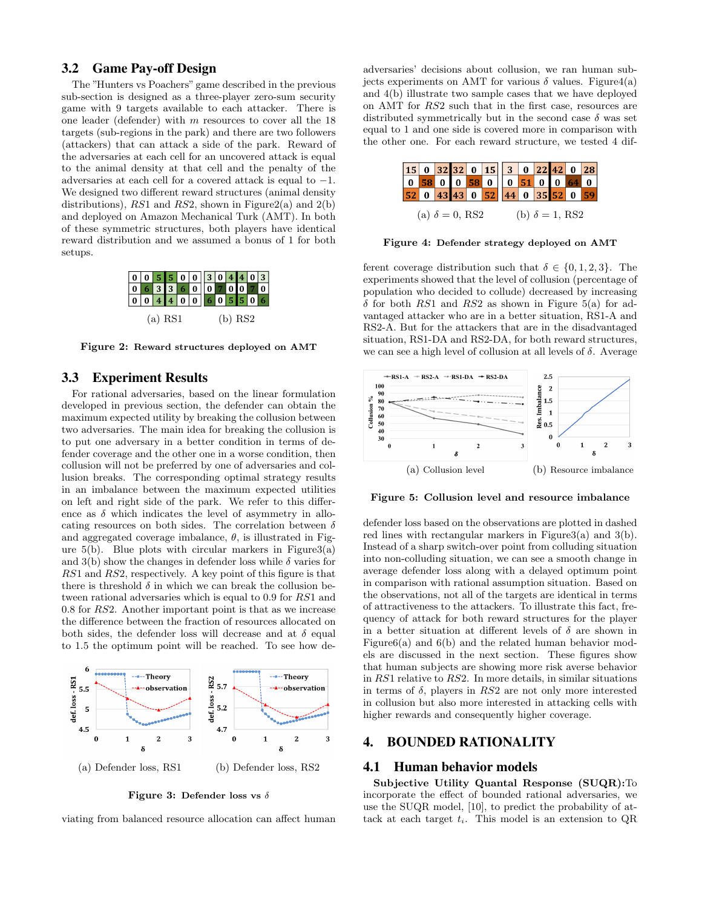## 3.2 Game Pay-off Design

The "Hunters vs Poachers" game described in the previous sub-section is designed as a three-player zero-sum security game with 9 targets available to each attacker. There is one leader (defender) with m resources to cover all the 18 targets (sub-regions in the park) and there are two followers (attackers) that can attack a side of the park. Reward of the adversaries at each cell for an uncovered attack is equal to the animal density at that cell and the penalty of the adversaries at each cell for a covered attack is equal to −1. We designed two different reward structures (animal density distributions), RS1 and RS2, shown in Figure2(a) and  $2(b)$ and deployed on Amazon Mechanical Turk (AMT). In both of these symmetric structures, both players have identical reward distribution and we assumed a bonus of 1 for both setups.



Figure 2: Reward structures deployed on AMT

## 3.3 Experiment Results

For rational adversaries, based on the linear formulation developed in previous section, the defender can obtain the maximum expected utility by breaking the collusion between two adversaries. The main idea for breaking the collusion is to put one adversary in a better condition in terms of defender coverage and the other one in a worse condition, then collusion will not be preferred by one of adversaries and collusion breaks. The corresponding optimal strategy results in an imbalance between the maximum expected utilities on left and right side of the park. We refer to this difference as  $\delta$  which indicates the level of asymmetry in allocating resources on both sides. The correlation between  $\delta$ and aggregated coverage imbalance,  $\theta$ , is illustrated in Figure  $5(b)$ . Blue plots with circular markers in Figure3(a) and 3(b) show the changes in defender loss while  $\delta$  varies for RS1 and RS2, respectively. A key point of this figure is that there is threshold  $\delta$  in which we can break the collusion between rational adversaries which is equal to 0.9 for RS1 and 0.8 for RS2. Another important point is that as we increase the difference between the fraction of resources allocated on both sides, the defender loss will decrease and at  $\delta$  equal to 1.5 the optimum point will be reached. To see how de-



Figure 3: Defender loss vs  $\delta$ 

viating from balanced resource allocation can affect human

adversaries' decisions about collusion, we ran human subjects experiments on AMT for various  $\delta$  values. Figure 4(a) and 4(b) illustrate two sample cases that we have deployed on AMT for RS2 such that in the first case, resources are distributed symmetrically but in the second case  $\delta$  was set equal to 1 and one side is covered more in comparison with the other one. For each reward structure, we tested 4 dif-



Figure 4: Defender strategy deployed on AMT

ferent coverage distribution such that  $\delta \in \{0, 1, 2, 3\}$ . The experiments showed that the level of collusion (percentage of population who decided to collude) decreased by increasing  $\delta$  for both RS1 and RS2 as shown in Figure 5(a) for advantaged attacker who are in a better situation, RS1-A and RS2-A. But for the attackers that are in the disadvantaged situation, RS1-DA and RS2-DA, for both reward structures, we can see a high level of collusion at all levels of  $\delta$ . Average



Figure 5: Collusion level and resource imbalance

defender loss based on the observations are plotted in dashed red lines with rectangular markers in Figure3(a) and 3(b). Instead of a sharp switch-over point from colluding situation into non-colluding situation, we can see a smooth change in average defender loss along with a delayed optimum point in comparison with rational assumption situation. Based on the observations, not all of the targets are identical in terms of attractiveness to the attackers. To illustrate this fact, frequency of attack for both reward structures for the player in a better situation at different levels of  $\delta$  are shown in Figure6(a) and 6(b) and the related human behavior models are discussed in the next section. These figures show that human subjects are showing more risk averse behavior in RS1 relative to RS2. In more details, in similar situations in terms of  $\delta$ , players in RS2 are not only more interested in collusion but also more interested in attacking cells with higher rewards and consequently higher coverage.

### 4. BOUNDED RATIONALITY

#### 4.1 Human behavior models

Subjective Utility Quantal Response (SUQR):To incorporate the effect of bounded rational adversaries, we use the SUQR model, [10], to predict the probability of attack at each target  $t_i$ . This model is an extension to QR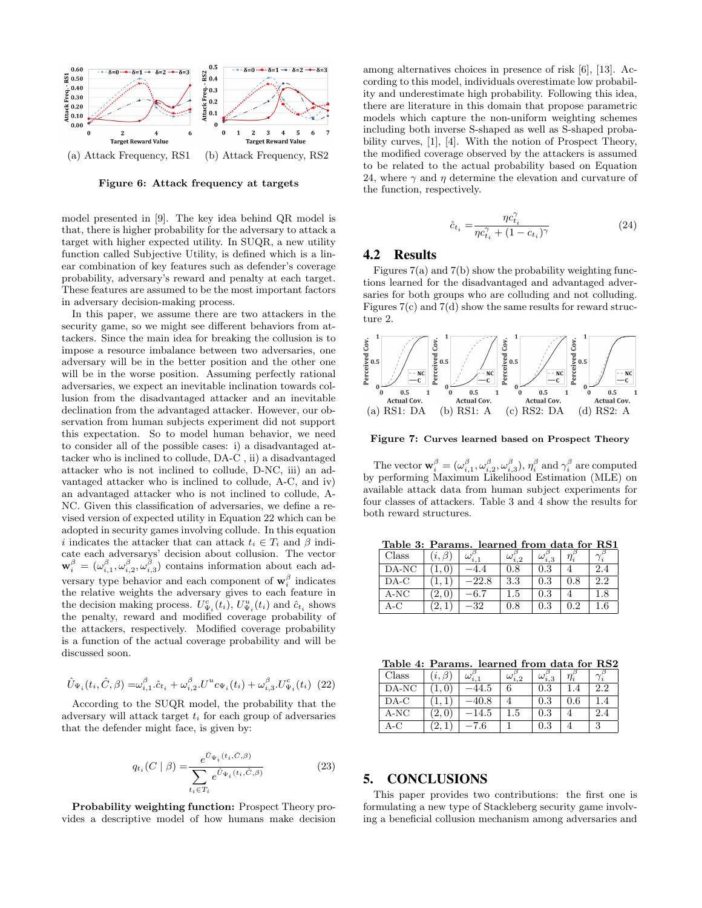

Figure 6: Attack frequency at targets

model presented in [9]. The key idea behind QR model is that, there is higher probability for the adversary to attack a target with higher expected utility. In SUQR, a new utility function called Subjective Utility, is defined which is a linear combination of key features such as defender's coverage probability, adversary's reward and penalty at each target. These features are assumed to be the most important factors in adversary decision-making process.

In this paper, we assume there are two attackers in the security game, so we might see different behaviors from attackers. Since the main idea for breaking the collusion is to impose a resource imbalance between two adversaries, one adversary will be in the better position and the other one will be in the worse position. Assuming perfectly rational adversaries, we expect an inevitable inclination towards collusion from the disadvantaged attacker and an inevitable declination from the advantaged attacker. However, our observation from human subjects experiment did not support this expectation. So to model human behavior, we need to consider all of the possible cases: i) a disadvantaged attacker who is inclined to collude, DA-C , ii) a disadvantaged attacker who is not inclined to collude, D-NC, iii) an advantaged attacker who is inclined to collude, A-C, and iv) an advantaged attacker who is not inclined to collude, A-NC. Given this classification of adversaries, we define a revised version of expected utility in Equation 22 which can be adopted in security games involving collude. In this equation i indicates the attacker that can attack  $t_i \in T_i$  and  $\beta$  indicate each adversarys' decision about collusion. The vector  $\mathbf{w}_i^{\beta} = (\omega_{i,1}^{\beta}, \omega_{i,2}^{\beta}, \omega_{i,3}^{\beta})$  contains information about each adversary type behavior and each component of  $\mathbf{w}_i^{\beta}$  indicates the relative weights the adversary gives to each feature in the decision making process.  $U_{\Psi_i}^c(t_i)$ ,  $U_{\Psi_i}^u(t_i)$  and  $\hat{c}_{t_i}$  shows the penalty, reward and modified coverage probability of the attackers, respectively. Modified coverage probability is a function of the actual coverage probability and will be discussed soon.

$$
\hat{U}_{\Psi_i}(t_i, \hat{C}, \beta) = \omega_{i,1}^{\beta} \hat{c}_{t_i} + \omega_{i,2}^{\beta} U^u c_{\Psi_i}(t_i) + \omega_{i,3}^{\beta} U_{\Psi_i}^c(t_i) \tag{22}
$$

According to the SUQR model, the probability that the adversary will attack target  $t_i$  for each group of adversaries that the defender might face, is given by:

$$
q_{t_i}(C \mid \beta) = \frac{e^{\hat{U}_{\Psi_i}(t_i, \hat{C}, \beta)}}{\sum_{t_i \in T_i} e^{\hat{U}_{\Psi_i}(t_i, \hat{C}, \beta)}}
$$
(23)

Probability weighting function: Prospect Theory provides a descriptive model of how humans make decision among alternatives choices in presence of risk [6], [13]. According to this model, individuals overestimate low probability and underestimate high probability. Following this idea, there are literature in this domain that propose parametric models which capture the non-uniform weighting schemes including both inverse S-shaped as well as S-shaped probability curves, [1], [4]. With the notion of Prospect Theory, the modified coverage observed by the attackers is assumed to be related to the actual probability based on Equation 24, where  $\gamma$  and  $\eta$  determine the elevation and curvature of the function, respectively.

$$
\hat{c}_{t_i} = \frac{\eta c_{t_i}^{\gamma}}{\eta c_{t_i}^{\gamma} + (1 - c_{t_i})^{\gamma}}
$$
\n(24)

## 4.2 Results

Figures  $7(a)$  and  $7(b)$  show the probability weighting functions learned for the disadvantaged and advantaged adversaries for both groups who are colluding and not colluding. Figures  $7(c)$  and  $7(d)$  show the same results for reward structure 2.



Figure 7: Curves learned based on Prospect Theory

The vector  $\mathbf{w}_i^{\beta} = (\omega_{i,1}^{\beta}, \omega_{i,2}^{\beta}, \omega_{i,3}^{\beta}), \eta_i^{\beta}$  and  $\gamma_i^{\beta}$  are computed by performing Maximum Likelihood Estimation (MLE) on available attack data from human subject experiments for four classes of attackers. Table 3 and 4 show the results for both reward structures.

Table 3: Params. learned from data for RS1

| Class | R | ω     | $\omega_{i,2}$ | i.3       |           |     |
|-------|---|-------|----------------|-----------|-----------|-----|
| DA-NC |   |       | $\rm 0.8$      | $\rm 0.3$ |           | 2.4 |
| DA-C  |   | -22.8 | $3.3\,$        | 0.3       | $\rm 0.8$ | 2.2 |
| A-NC  |   |       | $_{1.5}$       | 0.3       |           | 1.8 |
| A-C   |   | 32    | $\rm 0.8$      | $\rm 0.3$ | ) າ       |     |

Table 4: Params. learned from data for RS2

| $\rm Class$ | $\imath.$ | $\omega_{i,1}$ | $\omega_{i,2}$ | $\omega_{i,3}$ |           |               |
|-------------|-----------|----------------|----------------|----------------|-----------|---------------|
| DA-NC       |           | 44.5           |                | $\rm 0.3$      | .4        | $2.2^{\circ}$ |
| DA-C        |           |                |                | $\rm 0.3$      | $\rm 0.6$ |               |
| A-NC        |           | -14.5          | l.5            | $\rm 0.3$      |           | 2.4           |
| A-C         |           | -7.6           |                | 0.3            |           |               |

# 5. CONCLUSIONS

This paper provides two contributions: the first one is formulating a new type of Stackleberg security game involving a beneficial collusion mechanism among adversaries and